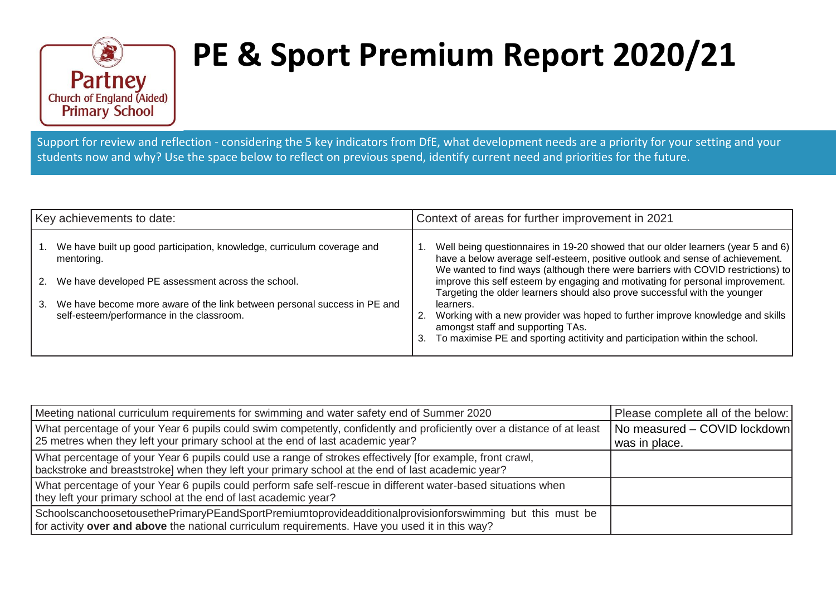

## **PE & Sport Premium Report 2020/21**

Support for review and reflection - considering the 5 key indicators from DfE, what development needs are a priority for your setting and your students now and why? Use the space below to reflect on previous spend, identify current need and priorities for the future.

| Key achievements to date: |                                                                                                                       |    | Context of areas for further improvement in 2021                                                                                                                                                                                                     |  |  |
|---------------------------|-----------------------------------------------------------------------------------------------------------------------|----|------------------------------------------------------------------------------------------------------------------------------------------------------------------------------------------------------------------------------------------------------|--|--|
|                           | We have built up good participation, knowledge, curriculum coverage and<br>mentoring.                                 |    | Well being questionnaires in 19-20 showed that our older learners (year 5 and 6)<br>have a below average self-esteem, positive outlook and sense of achievement.<br>We wanted to find ways (although there were barriers with COVID restrictions) to |  |  |
| 2.                        | We have developed PE assessment across the school.                                                                    |    | improve this self esteem by engaging and motivating for personal improvement.<br>Targeting the older learners should also prove successful with the younger                                                                                          |  |  |
| 3.                        | We have become more aware of the link between personal success in PE and<br>self-esteem/performance in the classroom. | 3. | learners.<br>Working with a new provider was hoped to further improve knowledge and skills<br>amongst staff and supporting TAs.<br>To maximise PE and sporting actitivity and participation within the school.                                       |  |  |

| Meeting national curriculum requirements for swimming and water safety end of Summer 2020                                                                                                                      | Please complete all of the below:             |
|----------------------------------------------------------------------------------------------------------------------------------------------------------------------------------------------------------------|-----------------------------------------------|
| What percentage of your Year 6 pupils could swim competently, confidently and proficiently over a distance of at least<br>  25 metres when they left your primary school at the end of last academic year?     | No measured - COVID lockdown<br>was in place. |
| What percentage of your Year 6 pupils could use a range of strokes effectively [for example, front crawl,<br>backstroke and breaststroke] when they left your primary school at the end of last academic year? |                                               |
| What percentage of your Year 6 pupils could perform safe self-rescue in different water-based situations when<br>they left your primary school at the end of last academic year?                               |                                               |
| SchoolscanchoosetousethePrimaryPEandSportPremiumtoprovideadditionalprovisionforswimming but this must be<br>for activity over and above the national curriculum requirements. Have you used it in this way?    |                                               |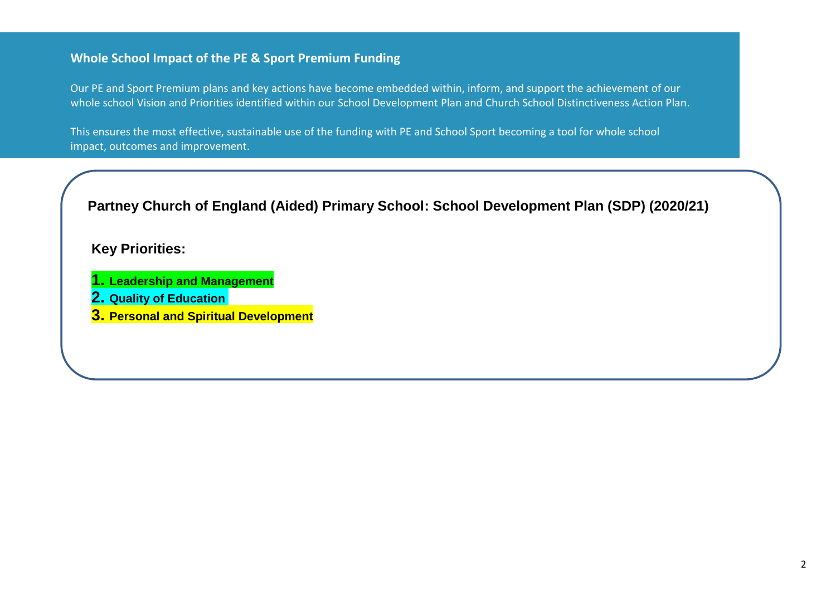## **Whole School Impact of the PE & Sport Premium Funding**

Our PE and Sport Premium plans and key actions have become embedded within, inform, and support the achievement of our whole school Vision and Priorities identified within our School Development Plan and Church School Distinctiveness Action Plan.

This ensures the most effective, sustainable use of the funding with PE and School Sport becoming a tool for whole school impact, outcomes and improvement.

**Partney Church of England (Aided) Primary School: School Development Plan (SDP) (2020/21)**

## **Key Priorities:**

- **1. Leadership and Management**
- **2. Quality of Education**
- **3. Personal and Spiritual Development**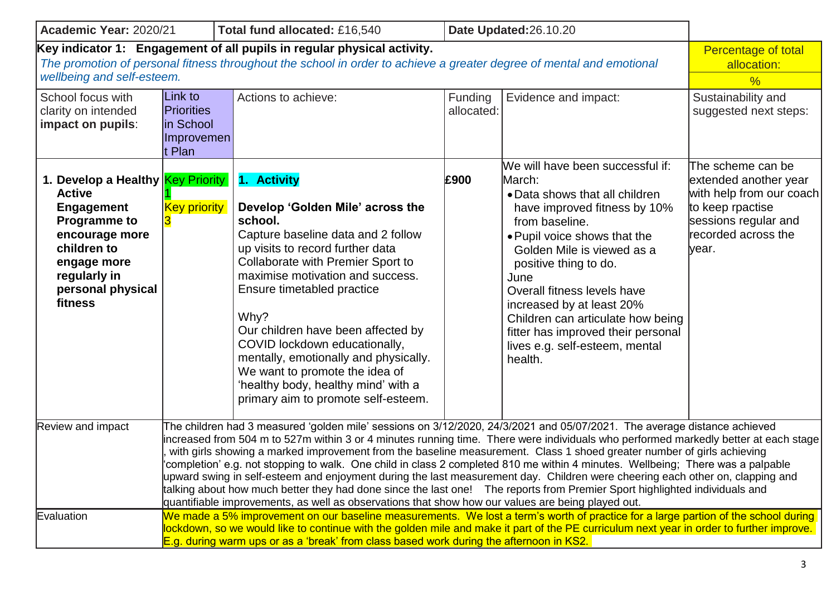| Academic Year: 2020/21                                                                                                                                                                                                        |                                                                                                                                                                                                                                                                                                                                                                                                                                                                                                                                                                                                                                                                                                                                                                                                                                                                                                 | Total fund allocated: £16,540                                                                                                                                                                                                                                                                                                                                                                                                                                                       |                       | Date Updated:26.10.20                                                                                                                                                                                                                                                                                                                                                                                             |                                                                                                                                                    |
|-------------------------------------------------------------------------------------------------------------------------------------------------------------------------------------------------------------------------------|-------------------------------------------------------------------------------------------------------------------------------------------------------------------------------------------------------------------------------------------------------------------------------------------------------------------------------------------------------------------------------------------------------------------------------------------------------------------------------------------------------------------------------------------------------------------------------------------------------------------------------------------------------------------------------------------------------------------------------------------------------------------------------------------------------------------------------------------------------------------------------------------------|-------------------------------------------------------------------------------------------------------------------------------------------------------------------------------------------------------------------------------------------------------------------------------------------------------------------------------------------------------------------------------------------------------------------------------------------------------------------------------------|-----------------------|-------------------------------------------------------------------------------------------------------------------------------------------------------------------------------------------------------------------------------------------------------------------------------------------------------------------------------------------------------------------------------------------------------------------|----------------------------------------------------------------------------------------------------------------------------------------------------|
| Key indicator 1: Engagement of all pupils in regular physical activity.<br>The promotion of personal fitness throughout the school in order to achieve a greater degree of mental and emotional<br>wellbeing and self-esteem. | Percentage of total<br>allocation:<br>$\frac{0}{6}$                                                                                                                                                                                                                                                                                                                                                                                                                                                                                                                                                                                                                                                                                                                                                                                                                                             |                                                                                                                                                                                                                                                                                                                                                                                                                                                                                     |                       |                                                                                                                                                                                                                                                                                                                                                                                                                   |                                                                                                                                                    |
| School focus with<br>clarity on intended<br>impact on pupils:                                                                                                                                                                 | Link to<br><b>Priorities</b><br>in School<br>Improvemen<br>t Plan                                                                                                                                                                                                                                                                                                                                                                                                                                                                                                                                                                                                                                                                                                                                                                                                                               | Actions to achieve:                                                                                                                                                                                                                                                                                                                                                                                                                                                                 | Funding<br>allocated: | Evidence and impact:                                                                                                                                                                                                                                                                                                                                                                                              | Sustainability and<br>suggested next steps:                                                                                                        |
| 1. Develop a Healthy Key Priority<br><b>Active</b><br><b>Engagement</b><br><b>Programme to</b><br>encourage more<br>children to<br>engage more<br>regularly in<br>personal physical<br>fitness                                | <b>Key priority</b>                                                                                                                                                                                                                                                                                                                                                                                                                                                                                                                                                                                                                                                                                                                                                                                                                                                                             | 1. Activity<br>Develop 'Golden Mile' across the<br>school.<br>Capture baseline data and 2 follow<br>up visits to record further data<br>Collaborate with Premier Sport to<br>maximise motivation and success.<br>Ensure timetabled practice<br>Why?<br>Our children have been affected by<br>COVID lockdown educationally,<br>mentally, emotionally and physically.<br>We want to promote the idea of<br>'healthy body, healthy mind' with a<br>primary aim to promote self-esteem. | £900                  | We will have been successful if:<br>March:<br>• Data shows that all children<br>have improved fitness by 10%<br>from baseline.<br>• Pupil voice shows that the<br>Golden Mile is viewed as a<br>positive thing to do.<br>June<br>Overall fitness levels have<br>increased by at least 20%<br>Children can articulate how being<br>fitter has improved their personal<br>lives e.g. self-esteem, mental<br>health. | The scheme can be<br>extended another year<br>with help from our coach<br>to keep rpactise<br>sessions regular and<br>recorded across the<br>year. |
| <b>Review and impact</b>                                                                                                                                                                                                      | The children had 3 measured 'golden mile' sessions on 3/12/2020, 24/3/2021 and 05/07/2021. The average distance achieved<br>increased from 504 m to 527m within 3 or 4 minutes running time. There were individuals who performed markedly better at each stage<br>with girls showing a marked improvement from the baseline measurement. Class 1 shoed greater number of girls achieving<br>completion' e.g. not stopping to walk. One child in class 2 completed 810 me within 4 minutes. Wellbeing; There was a palpable<br>upward swing in self-esteem and enjoyment during the last measurement day. Children were cheering each other on, clapping and<br>talking about how much better they had done since the last one! The reports from Premier Sport highlighted individuals and<br>quantifiable improvements, as well as observations that show how our values are being played out. |                                                                                                                                                                                                                                                                                                                                                                                                                                                                                     |                       |                                                                                                                                                                                                                                                                                                                                                                                                                   |                                                                                                                                                    |
| Evaluation                                                                                                                                                                                                                    | We made a 5% improvement on our baseline measurements. We lost a term's worth of practice for a large partion of the school during<br>lockdown, so we would like to continue with the golden mile and make it part of the PE curriculum next year in order to further improve.<br>E.g. during warm ups or as a 'break' from class based work during the afternoon in KS2.                                                                                                                                                                                                                                                                                                                                                                                                                                                                                                                       |                                                                                                                                                                                                                                                                                                                                                                                                                                                                                     |                       |                                                                                                                                                                                                                                                                                                                                                                                                                   |                                                                                                                                                    |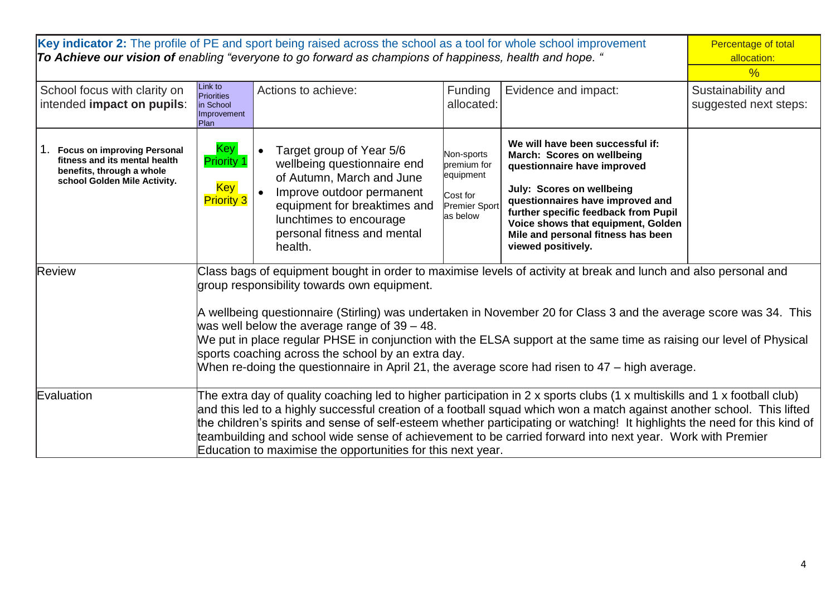| Key indicator 2: The profile of PE and sport being raised across the school as a tool for whole school improvement<br>To Achieve our vision of enabling "everyone to go forward as champions of happiness, health and hope. " |                                                                                                                                                                                                                                                                                                                                                                                                                                                                                                                                                                                                                       |                                                                                                                                                                                                                        |                                                                                 |                                                                                                                                                                                                                                                                                                          | Percentage of total<br>allocation:<br>$\frac{0}{0}$ |
|-------------------------------------------------------------------------------------------------------------------------------------------------------------------------------------------------------------------------------|-----------------------------------------------------------------------------------------------------------------------------------------------------------------------------------------------------------------------------------------------------------------------------------------------------------------------------------------------------------------------------------------------------------------------------------------------------------------------------------------------------------------------------------------------------------------------------------------------------------------------|------------------------------------------------------------------------------------------------------------------------------------------------------------------------------------------------------------------------|---------------------------------------------------------------------------------|----------------------------------------------------------------------------------------------------------------------------------------------------------------------------------------------------------------------------------------------------------------------------------------------------------|-----------------------------------------------------|
| School focus with clarity on<br>intended impact on pupils:                                                                                                                                                                    | Link to<br>Priorities<br>in School<br>Improvement<br>Plan                                                                                                                                                                                                                                                                                                                                                                                                                                                                                                                                                             | Actions to achieve:                                                                                                                                                                                                    | Funding<br>allocated:                                                           | Evidence and impact:                                                                                                                                                                                                                                                                                     | Sustainability and<br>suggested next steps:         |
| <b>Focus on improving Personal</b><br>fitness and its mental health<br>benefits, through a whole<br>school Golden Mile Activity.                                                                                              | Key <sup> </sup><br><b>Priority 1</b><br><b>Key</b><br><b>Priority 3</b>                                                                                                                                                                                                                                                                                                                                                                                                                                                                                                                                              | Target group of Year 5/6<br>wellbeing questionnaire end<br>of Autumn, March and June<br>Improve outdoor permanent<br>equipment for breaktimes and<br>lunchtimes to encourage<br>personal fitness and mental<br>health. | Non-sports<br>premium for<br>equipment<br>Cost for<br>Premier Sport<br>as below | We will have been successful if:<br>March: Scores on wellbeing<br>questionnaire have improved<br>July: Scores on wellbeing<br>questionnaires have improved and<br>further specific feedback from Pupil<br>Voice shows that equipment, Golden<br>Mile and personal fitness has been<br>viewed positively. |                                                     |
| Review                                                                                                                                                                                                                        | Class bags of equipment bought in order to maximise levels of activity at break and lunch and also personal and<br>group responsibility towards own equipment.<br>A wellbeing questionnaire (Stirling) was undertaken in November 20 for Class 3 and the average score was 34. This<br>was well below the average range of $39 - 48$ .<br>We put in place regular PHSE in conjunction with the ELSA support at the same time as raising our level of Physical<br>sports coaching across the school by an extra day.<br>When re-doing the questionnaire in April 21, the average score had risen to 47 – high average. |                                                                                                                                                                                                                        |                                                                                 |                                                                                                                                                                                                                                                                                                          |                                                     |
| Evaluation                                                                                                                                                                                                                    | The extra day of quality coaching led to higher participation in 2 x sports clubs (1 x multiskills and 1 x football club)<br>and this led to a highly successful creation of a football squad which won a match against another school. This lifted<br>the children's spirits and sense of self-esteem whether participating or watching! It highlights the need for this kind of<br>teambuilding and school wide sense of achievement to be carried forward into next year. Work with Premier<br>Education to maximise the opportunities for this next year.                                                         |                                                                                                                                                                                                                        |                                                                                 |                                                                                                                                                                                                                                                                                                          |                                                     |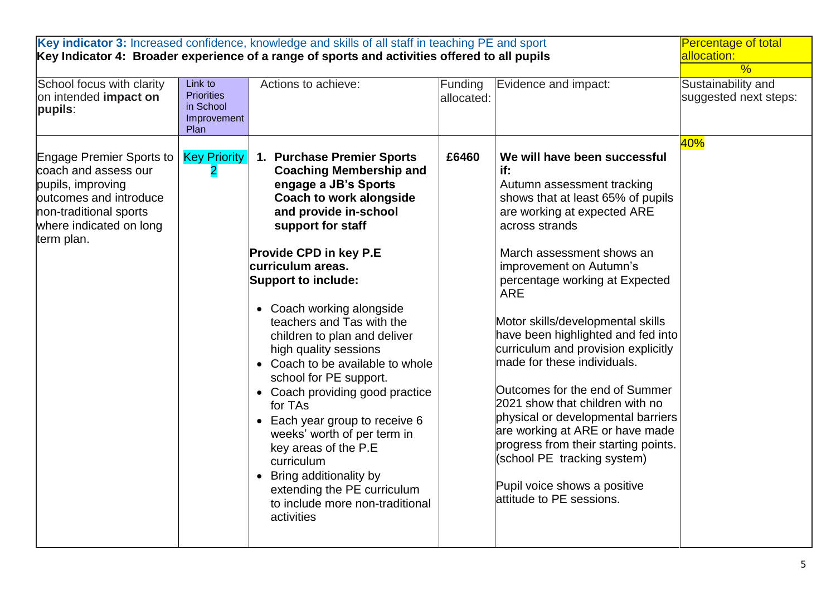| School focus with clarity<br>on intended impact on<br>pupils:                                                                                                      | Link to<br><b>Priorities</b><br>in School<br>Improvement<br>Plan | Key indicator 3: Increased confidence, knowledge and skills of all staff in teaching PE and sport<br>Key Indicator 4: Broader experience of a range of sports and activities offered to all pupils<br>Actions to achieve:                                                                                                                                                                                                                                                                                                                                                                                                                                                                                | Funding<br>allocated: | Evidence and impact:                                                                                                                                                                                                                                                                                                                                                                                                                                                                                                                                                                                                                                                                               | <b>Percentage of total</b><br>allocation:<br>$\frac{0}{2}$<br>Sustainability and<br>suggested next steps: |
|--------------------------------------------------------------------------------------------------------------------------------------------------------------------|------------------------------------------------------------------|----------------------------------------------------------------------------------------------------------------------------------------------------------------------------------------------------------------------------------------------------------------------------------------------------------------------------------------------------------------------------------------------------------------------------------------------------------------------------------------------------------------------------------------------------------------------------------------------------------------------------------------------------------------------------------------------------------|-----------------------|----------------------------------------------------------------------------------------------------------------------------------------------------------------------------------------------------------------------------------------------------------------------------------------------------------------------------------------------------------------------------------------------------------------------------------------------------------------------------------------------------------------------------------------------------------------------------------------------------------------------------------------------------------------------------------------------------|-----------------------------------------------------------------------------------------------------------|
| Engage Premier Sports to<br>coach and assess our<br>pupils, improving<br>outcomes and introduce<br>non-traditional sports<br>where indicated on long<br>term plan. | <b>Key Priority</b><br>$\overline{2}$                            | 1. Purchase Premier Sports<br><b>Coaching Membership and</b><br>engage a JB's Sports<br><b>Coach to work alongside</b><br>and provide in-school<br>support for staff<br><b>Provide CPD in key P.E</b><br>curriculum areas.<br><b>Support to include:</b><br>• Coach working alongside<br>teachers and Tas with the<br>children to plan and deliver<br>high quality sessions<br>• Coach to be available to whole<br>school for PE support.<br>• Coach providing good practice<br>for TAs<br>• Each year group to receive 6<br>weeks' worth of per term in<br>key areas of the P.E<br>curriculum<br>Bring additionality by<br>extending the PE curriculum<br>to include more non-traditional<br>activities | £6460                 | We will have been successful<br>if:<br>Autumn assessment tracking<br>shows that at least 65% of pupils<br>are working at expected ARE<br>across strands<br>March assessment shows an<br>improvement on Autumn's<br>percentage working at Expected<br><b>ARE</b><br>Motor skills/developmental skills<br>have been highlighted and fed into<br>curriculum and provision explicitly<br>made for these individuals.<br>Outcomes for the end of Summer<br>2021 show that children with no<br>physical or developmental barriers<br>are working at ARE or have made<br>progress from their starting points.<br>(school PE tracking system)<br>Pupil voice shows a positive<br>lattitude to PE sessions. | 40%                                                                                                       |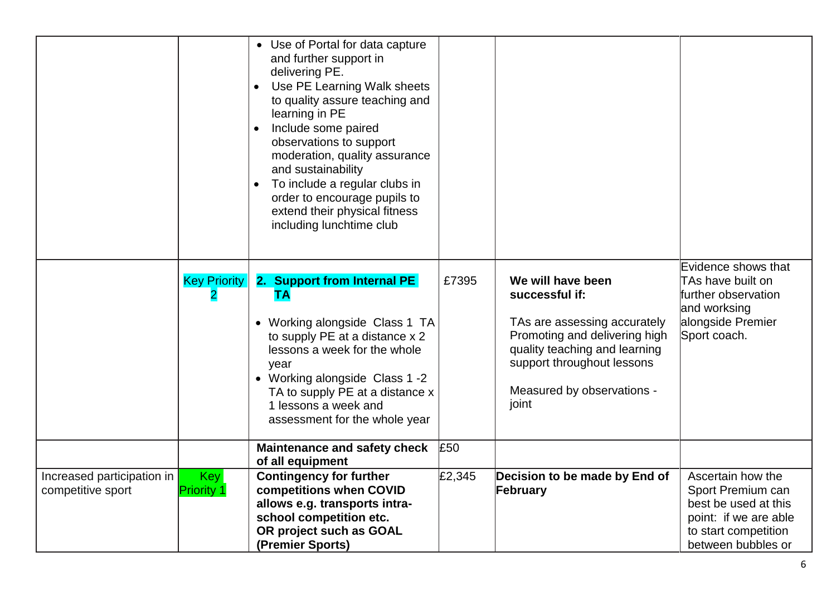|                                                 |                          | • Use of Portal for data capture<br>and further support in<br>delivering PE.<br>Use PE Learning Walk sheets<br>$\bullet$<br>to quality assure teaching and<br>learning in PE<br>Include some paired<br>$\bullet$<br>observations to support<br>moderation, quality assurance<br>and sustainability<br>To include a regular clubs in<br>$\bullet$<br>order to encourage pupils to<br>extend their physical fitness<br>including lunchtime club |        |                                                                                                                                                                                                            |                                                                                                                                       |
|-------------------------------------------------|--------------------------|-----------------------------------------------------------------------------------------------------------------------------------------------------------------------------------------------------------------------------------------------------------------------------------------------------------------------------------------------------------------------------------------------------------------------------------------------|--------|------------------------------------------------------------------------------------------------------------------------------------------------------------------------------------------------------------|---------------------------------------------------------------------------------------------------------------------------------------|
|                                                 | <b>Key Priority</b>      | 2. Support from Internal PE<br><b>TA</b><br>• Working alongside Class 1 TA<br>to supply PE at a distance x 2<br>lessons a week for the whole<br>year<br>• Working alongside Class 1 -2<br>TA to supply PE at a distance x<br>1 lessons a week and<br>assessment for the whole year                                                                                                                                                            | £7395  | We will have been<br>successful if:<br>TAs are assessing accurately<br>Promoting and delivering high<br>quality teaching and learning<br>support throughout lessons<br>Measured by observations -<br>joint | Evidence shows that<br>TAs have built on<br>further observation<br>and worksing<br>alongside Premier<br>Sport coach.                  |
|                                                 |                          | <b>Maintenance and safety check</b><br>of all equipment                                                                                                                                                                                                                                                                                                                                                                                       | £50    |                                                                                                                                                                                                            |                                                                                                                                       |
| Increased participation in<br>competitive sport | Key<br><b>Priority 1</b> | <b>Contingency for further</b><br>competitions when COVID<br>allows e.g. transports intra-<br>school competition etc.<br>OR project such as GOAL<br>(Premier Sports)                                                                                                                                                                                                                                                                          | £2,345 | Decision to be made by End of<br>February                                                                                                                                                                  | Ascertain how the<br>Sport Premium can<br>best be used at this<br>point: if we are able<br>to start competition<br>between bubbles or |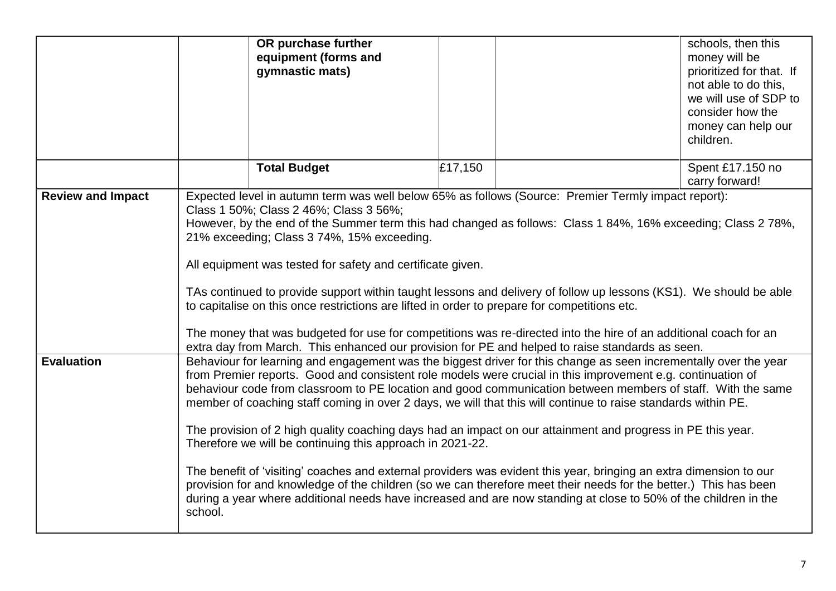|                          | OR purchase further<br>equipment (forms and<br>gymnastic mats)                                                                                                                                                                                                                                                                                                                                                                                                                                                                                                                                                                                                                                                                                                                                                                                                                                                                                                                                                      |         | schools, then this<br>money will be<br>prioritized for that. If<br>not able to do this,<br>we will use of SDP to<br>consider how the<br>money can help our<br>children. |  |  |
|--------------------------|---------------------------------------------------------------------------------------------------------------------------------------------------------------------------------------------------------------------------------------------------------------------------------------------------------------------------------------------------------------------------------------------------------------------------------------------------------------------------------------------------------------------------------------------------------------------------------------------------------------------------------------------------------------------------------------------------------------------------------------------------------------------------------------------------------------------------------------------------------------------------------------------------------------------------------------------------------------------------------------------------------------------|---------|-------------------------------------------------------------------------------------------------------------------------------------------------------------------------|--|--|
|                          | <b>Total Budget</b>                                                                                                                                                                                                                                                                                                                                                                                                                                                                                                                                                                                                                                                                                                                                                                                                                                                                                                                                                                                                 | £17,150 | Spent £17.150 no<br>carry forward!                                                                                                                                      |  |  |
| <b>Review and Impact</b> | Expected level in autumn term was well below 65% as follows (Source: Premier Termly impact report):<br>Class 1 50%; Class 2 46%; Class 3 56%;<br>However, by the end of the Summer term this had changed as follows: Class 1 84%, 16% exceeding; Class 2 78%,<br>21% exceeding; Class 3 74%, 15% exceeding.<br>All equipment was tested for safety and certificate given.<br>TAs continued to provide support within taught lessons and delivery of follow up lessons (KS1). We should be able<br>to capitalise on this once restrictions are lifted in order to prepare for competitions etc.<br>The money that was budgeted for use for competitions was re-directed into the hire of an additional coach for an<br>extra day from March. This enhanced our provision for PE and helped to raise standards as seen.                                                                                                                                                                                               |         |                                                                                                                                                                         |  |  |
| <b>Evaluation</b>        | Behaviour for learning and engagement was the biggest driver for this change as seen incrementally over the year<br>from Premier reports. Good and consistent role models were crucial in this improvement e.g. continuation of<br>behaviour code from classroom to PE location and good communication between members of staff. With the same<br>member of coaching staff coming in over 2 days, we will that this will continue to raise standards within PE.<br>The provision of 2 high quality coaching days had an impact on our attainment and progress in PE this year.<br>Therefore we will be continuing this approach in 2021-22.<br>The benefit of 'visiting' coaches and external providers was evident this year, bringing an extra dimension to our<br>provision for and knowledge of the children (so we can therefore meet their needs for the better.) This has been<br>during a year where additional needs have increased and are now standing at close to 50% of the children in the<br>school. |         |                                                                                                                                                                         |  |  |